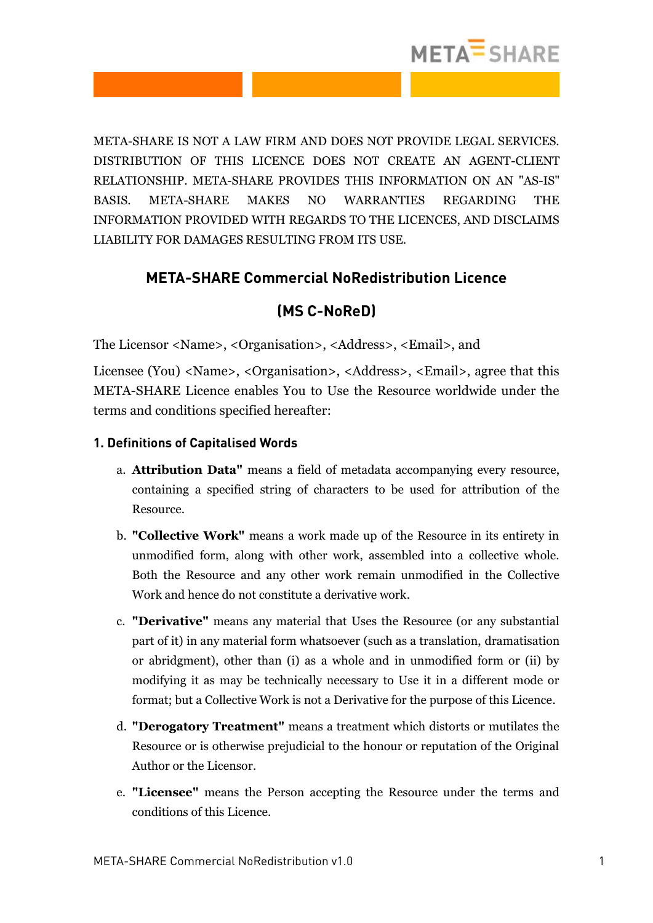

META-SHARE IS NOT A LAW FIRM AND DOES NOT PROVIDE LEGAL SERVICES. DISTRIBUTION OF THIS LICENCE DOES NOT CREATE AN AGENT-CLIENT RELATIONSHIP. META-SHARE PROVIDES THIS INFORMATION ON AN "AS-IS" BASIS. META-SHARE MAKES NO WARRANTIES REGARDING THE INFORMATION PROVIDED WITH REGARDS TO THE LICENCES, AND DISCLAIMS LIABILITY FOR DAMAGES RESULTING FROM ITS USE.

## **META-SHARE Commercial NoRedistribution Licence**

## **(MS C-NoReD)**

The Licensor <Name>, <Organisation>, <Address>, <Email>, and

Licensee (You) <Name>, <Organisation>, <Address>, <Email>, agree that this META-SHARE Licence enables You to Use the Resource worldwide under the terms and conditions specified hereafter:

### **1. Definitions of Capitalised Words**

- a. **Attribution Data"** means a field of metadata accompanying every resource, containing a specified string of characters to be used for attribution of the Resource.
- b. **"Collective Work"** means a work made up of the Resource in its entirety in unmodified form, along with other work, assembled into a collective whole. Both the Resource and any other work remain unmodified in the Collective Work and hence do not constitute a derivative work.
- c. **"Derivative"** means any material that Uses the Resource (or any substantial part of it) in any material form whatsoever (such as a translation, dramatisation or abridgment), other than (i) as a whole and in unmodified form or (ii) by modifying it as may be technically necessary to Use it in a different mode or format; but a Collective Work is not a Derivative for the purpose of this Licence.
- d. **"Derogatory Treatment"** means a treatment which distorts or mutilates the Resource or is otherwise prejudicial to the honour or reputation of the Original Author or the Licensor.
- e. **"Licensee"** means the Person accepting the Resource under the terms and conditions of this Licence.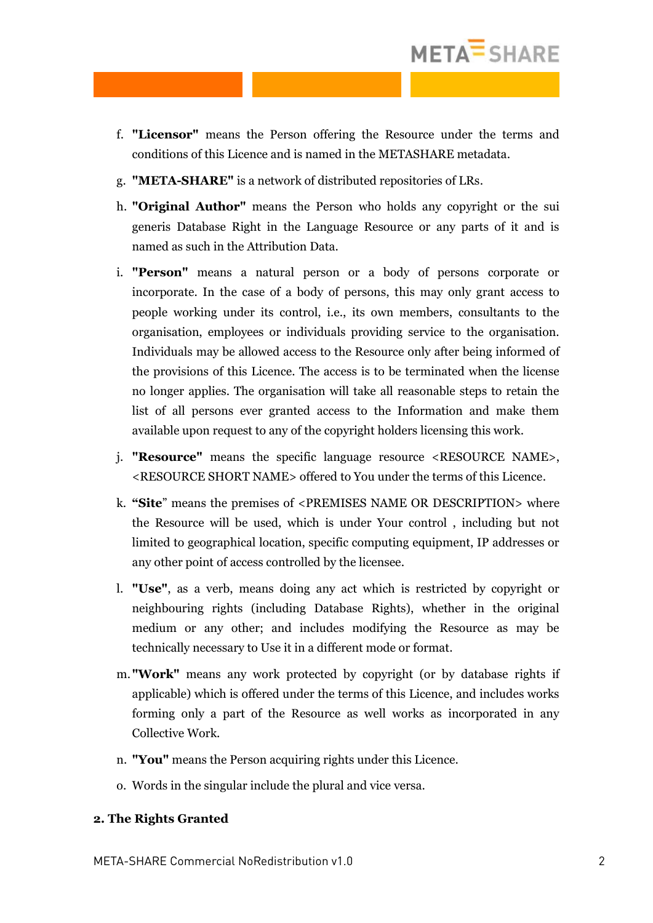

- f. **"Licensor"** means the Person offering the Resource under the terms and conditions of this Licence and is named in the METASHARE metadata.
- g. **"META-SHARE"** is a network of distributed repositories of LRs.
- h. **"Original Author"** means the Person who holds any copyright or the sui generis Database Right in the Language Resource or any parts of it and is named as such in the Attribution Data.
- i. **"Person"** means a natural person or a body of persons corporate or incorporate. In the case of a body of persons, this may only grant access to people working under its control, i.e., its own members, consultants to the organisation, employees or individuals providing service to the organisation. Individuals may be allowed access to the Resource only after being informed of the provisions of this Licence. The access is to be terminated when the license no longer applies. The organisation will take all reasonable steps to retain the list of all persons ever granted access to the Information and make them available upon request to any of the copyright holders licensing this work.
- j. **"Resource"** means the specific language resource <RESOURCE NAME>, <RESOURCE SHORT NAME> offered to You under the terms of this Licence.
- k. **"Site**" means the premises of <PREMISES NAME OR DESCRIPTION> where the Resource will be used, which is under Your control , including but not limited to geographical location, specific computing equipment, IP addresses or any other point of access controlled by the licensee.
- l. **"Use"**, as a verb, means doing any act which is restricted by copyright or neighbouring rights (including Database Rights), whether in the original medium or any other; and includes modifying the Resource as may be technically necessary to Use it in a different mode or format.
- m. **"Work"** means any work protected by copyright (or by database rights if applicable) which is offered under the terms of this Licence, and includes works forming only a part of the Resource as well works as incorporated in any Collective Work.
- n. **"You"** means the Person acquiring rights under this Licence.
- o. Words in the singular include the plural and vice versa.

#### **2. The Rights Granted**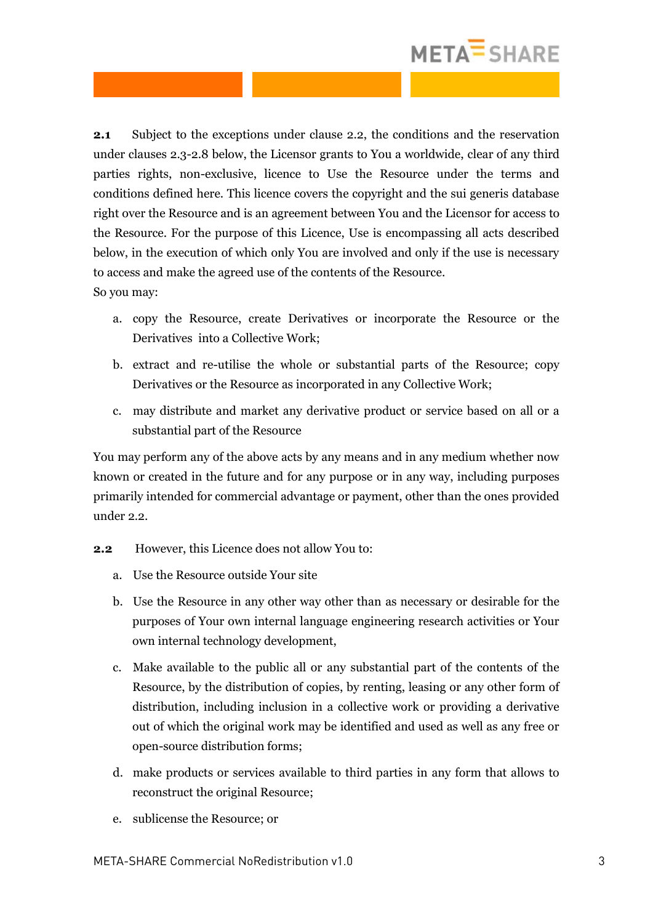# META<sup>=</sup>SHARE

**2.1** Subject to the exceptions under clause 2.2, the conditions and the reservation under clauses 2.3-2.8 below, the Licensor grants to You a worldwide, clear of any third parties rights, non-exclusive, licence to Use the Resource under the terms and conditions defined here. This licence covers the copyright and the sui generis database right over the Resource and is an agreement between You and the Licensor for access to the Resource. For the purpose of this Licence, Use is encompassing all acts described below, in the execution of which only You are involved and only if the use is necessary to access and make the agreed use of the contents of the Resource. So you may:

- a. copy the Resource, create Derivatives or incorporate the Resource or the Derivatives into a Collective Work;
- b. extract and re-utilise the whole or substantial parts of the Resource; copy Derivatives or the Resource as incorporated in any Collective Work;
- c. may distribute and market any derivative product or service based on all or a substantial part of the Resource

You may perform any of the above acts by any means and in any medium whether now known or created in the future and for any purpose or in any way, including purposes primarily intended for commercial advantage or payment, other than the ones provided under 2.2.

- **2.2** However, this Licence does not allow You to:
	- a. Use the Resource outside Your site
	- b. Use the Resource in any other way other than as necessary or desirable for the purposes of Your own internal language engineering research activities or Your own internal technology development,
	- c. Make available to the public all or any substantial part of the contents of the Resource, by the distribution of copies, by renting, leasing or any other form of distribution, including inclusion in a collective work or providing a derivative out of which the original work may be identified and used as well as any free or open-source distribution forms;
	- d. make products or services available to third parties in any form that allows to reconstruct the original Resource;
	- e. sublicense the Resource; or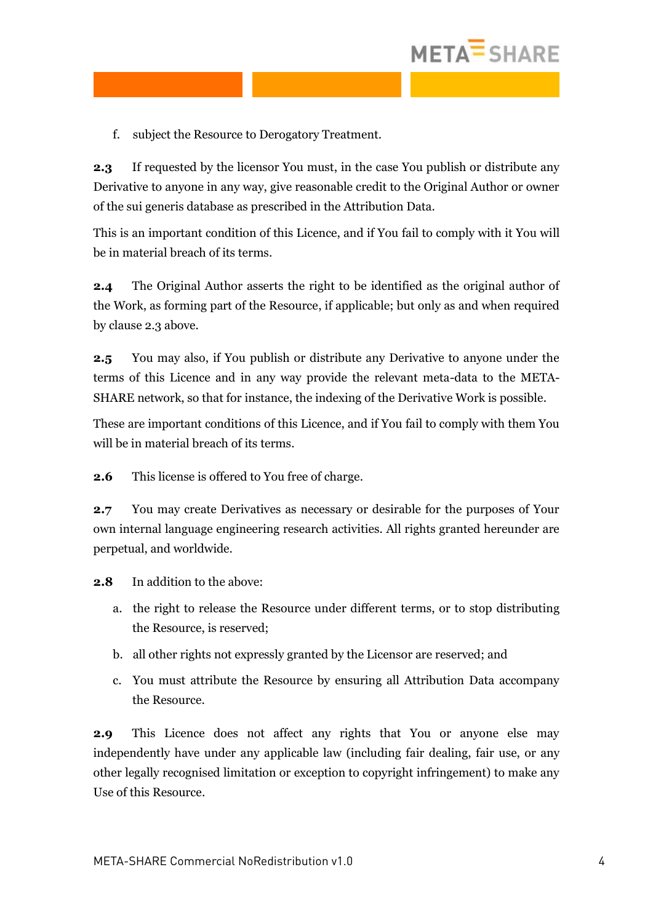

f. subject the Resource to Derogatory Treatment.

**2.3** If requested by the licensor You must, in the case You publish or distribute any Derivative to anyone in any way, give reasonable credit to the Original Author or owner of the sui generis database as prescribed in the Attribution Data.

This is an important condition of this Licence, and if You fail to comply with it You will be in material breach of its terms.

**2.4** The Original Author asserts the right to be identified as the original author of the Work, as forming part of the Resource, if applicable; but only as and when required by clause 2.3 above.

**2.5** You may also, if You publish or distribute any Derivative to anyone under the terms of this Licence and in any way provide the relevant meta-data to the META-SHARE network, so that for instance, the indexing of the Derivative Work is possible.

These are important conditions of this Licence, and if You fail to comply with them You will be in material breach of its terms.

**2.6** This license is offered to You free of charge.

**2.7** You may create Derivatives as necessary or desirable for the purposes of Your own internal language engineering research activities. All rights granted hereunder are perpetual, and worldwide.

**2.8** In addition to the above:

- a. the right to release the Resource under different terms, or to stop distributing the Resource, is reserved;
- b. all other rights not expressly granted by the Licensor are reserved; and
- c. You must attribute the Resource by ensuring all Attribution Data accompany the Resource.

**2.9** This Licence does not affect any rights that You or anyone else may independently have under any applicable law (including fair dealing, fair use, or any other legally recognised limitation or exception to copyright infringement) to make any Use of this Resource.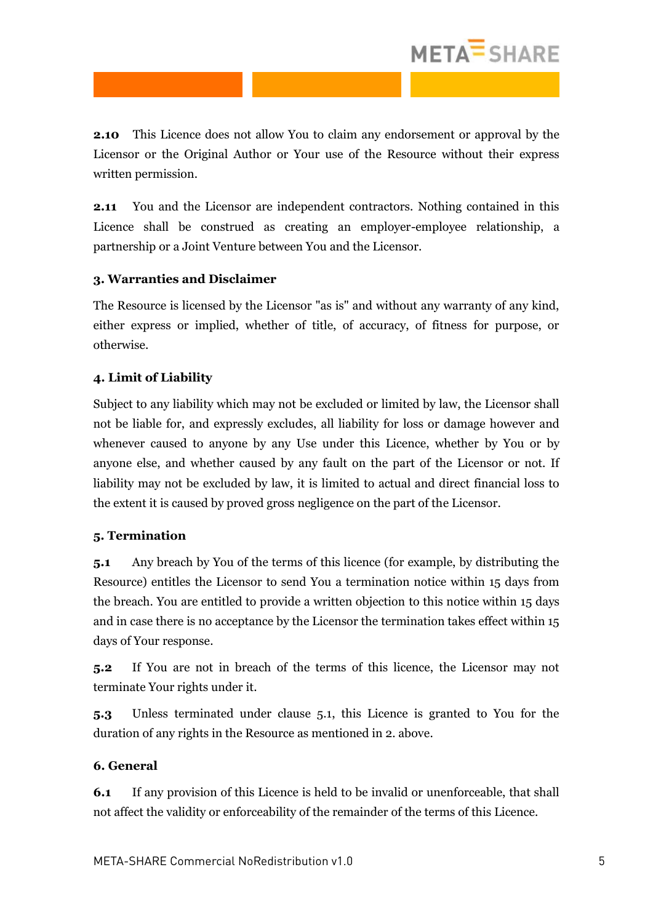# META<sup>=</sup>SHARE

**2.10** This Licence does not allow You to claim any endorsement or approval by the Licensor or the Original Author or Your use of the Resource without their express written permission.

**2.11** You and the Licensor are independent contractors. Nothing contained in this Licence shall be construed as creating an employer-employee relationship, a partnership or a Joint Venture between You and the Licensor.

### **3. Warranties and Disclaimer**

The Resource is licensed by the Licensor "as is" and without any warranty of any kind, either express or implied, whether of title, of accuracy, of fitness for purpose, or otherwise.

### **4. Limit of Liability**

Subject to any liability which may not be excluded or limited by law, the Licensor shall not be liable for, and expressly excludes, all liability for loss or damage however and whenever caused to anyone by any Use under this Licence, whether by You or by anyone else, and whether caused by any fault on the part of the Licensor or not. If liability may not be excluded by law, it is limited to actual and direct financial loss to the extent it is caused by proved gross negligence on the part of the Licensor.

### **5. Termination**

**5.1** Any breach by You of the terms of this licence (for example, by distributing the Resource) entitles the Licensor to send You a termination notice within 15 days from the breach. You are entitled to provide a written objection to this notice within 15 days and in case there is no acceptance by the Licensor the termination takes effect within 15 days of Your response.

**5.2** If You are not in breach of the terms of this licence, the Licensor may not terminate Your rights under it.

**5.3** Unless terminated under clause 5.1, this Licence is granted to You for the duration of any rights in the Resource as mentioned in 2. above.

### **6. General**

**6.1** If any provision of this Licence is held to be invalid or unenforceable, that shall not affect the validity or enforceability of the remainder of the terms of this Licence.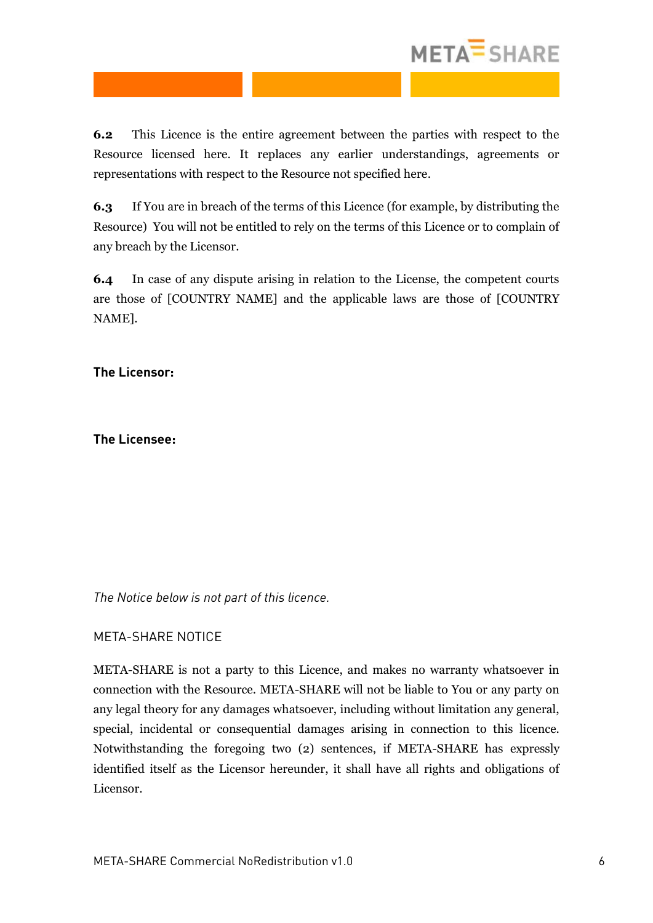

**6.2** This Licence is the entire agreement between the parties with respect to the Resource licensed here. It replaces any earlier understandings, agreements or representations with respect to the Resource not specified here.

**6.3** If You are in breach of the terms of this Licence (for example, by distributing the Resource) You will not be entitled to rely on the terms of this Licence or to complain of any breach by the Licensor.

**6.4** In case of any dispute arising in relation to the License, the competent courts are those of [COUNTRY NAME] and the applicable laws are those of [COUNTRY NAME].

**The Licensor:**

**The Licensee:**

*The Notice below is not part of this licence.*

META-SHARE NOTICE

META-SHARE is not a party to this Licence, and makes no warranty whatsoever in connection with the Resource. META-SHARE will not be liable to You or any party on any legal theory for any damages whatsoever, including without limitation any general, special, incidental or consequential damages arising in connection to this licence. Notwithstanding the foregoing two (2) sentences, if META-SHARE has expressly identified itself as the Licensor hereunder, it shall have all rights and obligations of Licensor.